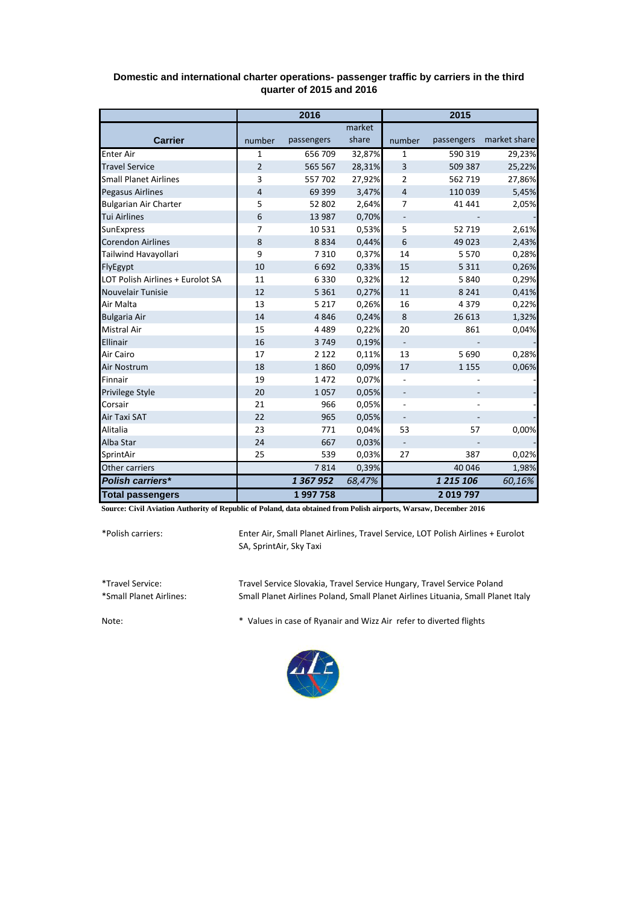|                                  | 2016           |            |        | 2015                     |            |              |
|----------------------------------|----------------|------------|--------|--------------------------|------------|--------------|
|                                  |                |            | market |                          |            |              |
| <b>Carrier</b>                   | number         | passengers | share  | number                   | passengers | market share |
| <b>Enter Air</b>                 | 1              | 656 709    | 32,87% | 1                        | 590 319    | 29,23%       |
| <b>Travel Service</b>            | $\overline{2}$ | 565 567    | 28,31% | 3                        | 509 387    | 25,22%       |
| <b>Small Planet Airlines</b>     | 3              | 557702     | 27,92% | 2                        | 562 719    | 27,86%       |
| <b>Pegasus Airlines</b>          | $\overline{4}$ | 69 399     | 3,47%  | $\overline{4}$           | 110 039    | 5,45%        |
| <b>Bulgarian Air Charter</b>     | 5              | 52 802     | 2,64%  | 7                        | 41 441     | 2,05%        |
| <b>Tui Airlines</b>              | 6              | 13 987     | 0,70%  |                          |            |              |
| SunExpress                       | $\overline{7}$ | 10531      | 0,53%  | 5                        | 52 719     | 2,61%        |
| <b>Corendon Airlines</b>         | 8              | 8834       | 0,44%  | 6                        | 49 0 23    | 2,43%        |
| Tailwind Havayollari             | 9              | 7310       | 0,37%  | 14                       | 5 5 7 0    | 0,28%        |
| FlyEgypt                         | 10             | 6692       | 0,33%  | 15                       | 5 3 1 1    | 0,26%        |
| LOT Polish Airlines + Eurolot SA | 11             | 6330       | 0,32%  | 12                       | 5840       | 0,29%        |
| Nouvelair Tunisie                | 12             | 5 3 6 1    | 0,27%  | 11                       | 8 2 4 1    | 0,41%        |
| Air Malta                        | 13             | 5 2 1 7    | 0,26%  | 16                       | 4379       | 0,22%        |
| <b>Bulgaria Air</b>              | 14             | 4846       | 0,24%  | 8                        | 26 613     | 1,32%        |
| <b>Mistral Air</b>               | 15             | 4489       | 0,22%  | 20                       | 861        | 0,04%        |
| Ellinair                         | 16             | 3749       | 0,19%  | $\overline{\phantom{a}}$ |            |              |
| Air Cairo                        | 17             | 2 1 2 2    | 0,11%  | 13                       | 5690       | 0,28%        |
| <b>Air Nostrum</b>               | 18             | 1860       | 0,09%  | 17                       | 1 1 5 5    | 0,06%        |
| Finnair                          | 19             | 1472       | 0,07%  |                          |            |              |
| Privilege Style                  | 20             | 1057       | 0,05%  | $\overline{\phantom{a}}$ |            |              |
| Corsair                          | 21             | 966        | 0,05%  | $\overline{\phantom{0}}$ |            |              |
| Air Taxi SAT                     | 22             | 965        | 0,05%  |                          |            |              |
| <b>Alitalia</b>                  | 23             | 771        | 0,04%  | 53                       | 57         | 0,00%        |
| Alba Star                        | 24             | 667        | 0,03%  |                          |            |              |
| SprintAir                        | 25             | 539        | 0,03%  | 27                       | 387        | 0,02%        |
| Other carriers                   |                | 7814       | 0,39%  |                          | 40 046     | 1,98%        |
| Polish carriers*                 |                | 1 367 952  | 68,47% |                          | 1 215 106  | 60,16%       |
| <b>Total passengers</b>          |                | 1997758    |        |                          | 2019797    |              |

## **Domestic and international charter operations- passenger traffic by carriers in the third quarter of 2015 and 2016**

**Source: Civil Aviation Authority of Republic of Poland, data obtained from Polish airports, Warsaw, December 2016**

\*Polish carriers:

Enter Air, Small Planet Airlines, Travel Service, LOT Polish Airlines + Eurolot SA, SprintAir, Sky Taxi

\*Travel Service: Travel Service Slovakia, Travel Service Hungary, Travel Service Poland Small Planet Airlines Poland, Small Planet Airlines Lituania, Small Planet Italy

Note: \* Values in case of Ryanair and Wizz Air refer to diverted flights